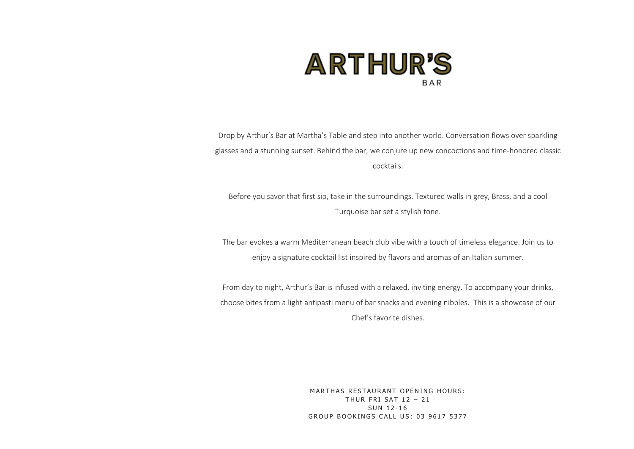

Drop by Arthur's Bar at Martha's Table and step into another world. Conversation flows over sparkling glasses and a stunning sunset. Behind the bar, we conjure up new concoctions and time-honored classic cocktails.

Before you savor that first sip, take in the surroundings. Textured walls in grey, Brass, and a cool Turquoise bar set a stylish tone.

The bar evokes a warm Mediterranean beach club vibe with a touch of timeless elegance. Join us to enjoy a signature cocktail list inspired by flavors and aromas of an Italian summer.

From day to night, Arthur's Bar is infused with a relaxed, inviting energy. To accompany your drinks, choose bites from a light antipasti menu of bar snacks and evening nibbles. This is a showcase of our Chef's favorite dishes.

> MARTHAS RESTAURANT OPENING HOURS: THUR FRI SAT  $12 - 21$ SUN 12-16 GROUP BOOKINGS CALL US: 03 9617 5377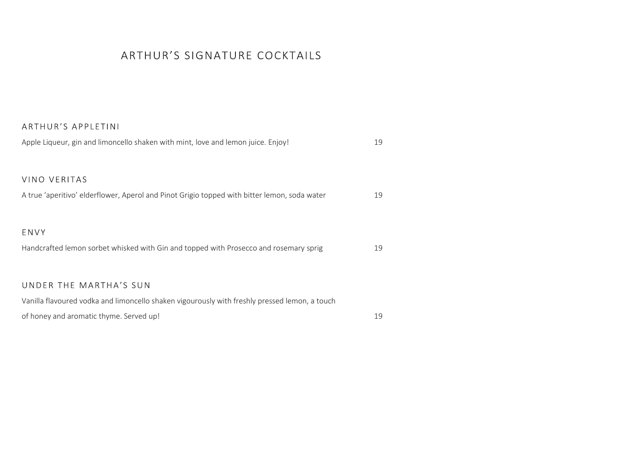### ARTHUR'S SIGNATURE COCKTAILS

#### ARTHUR'S APPLETINI

| Apple Liqueur, gin and limoncello shaken with mint, love and lemon juice. Enjoy!                                        | 19 |
|-------------------------------------------------------------------------------------------------------------------------|----|
| VINO VERITAS<br>A true 'aperitivo' elderflower, Aperol and Pinot Grigio topped with bitter lemon, soda water            | 19 |
| ENVY<br>Handcrafted lemon sorbet whisked with Gin and topped with Prosecco and rosemary sprig                           | 19 |
| UNDER THE MARTHA'S SUN<br>Vanilla flavoured vodka and limoncello shaken vigourously with freshly pressed lemon, a touch |    |
| of honey and aromatic thyme. Served up!                                                                                 | 19 |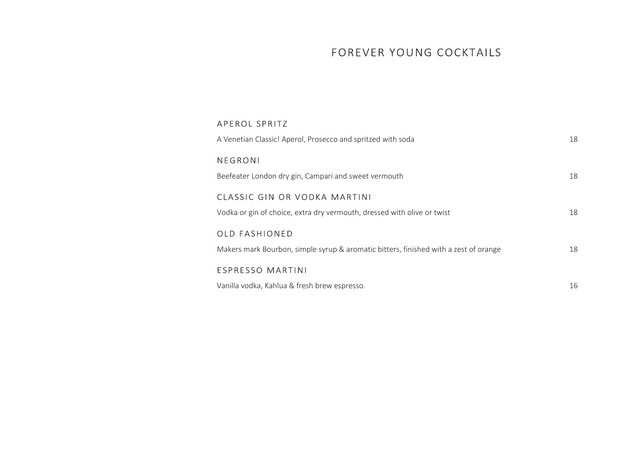### FOREVER YOUNG COCKTAILS

| APEROL SPRITZ                                                                        |    |
|--------------------------------------------------------------------------------------|----|
| A Venetian Classic! Aperol, Prosecco and spritzed with soda                          | 18 |
| NEGRONI                                                                              |    |
| Beefeater London dry gin, Campari and sweet vermouth                                 | 18 |
| CLASSIC GIN OR VODKA MARTINI                                                         |    |
| Vodka or gin of choice, extra dry vermouth, dressed with olive or twist              | 18 |
| <b>OLD FASHIONED</b>                                                                 |    |
| Makers mark Bourbon, simple syrup & aromatic bitters, finished with a zest of orange | 18 |
| <b>ESPRESSO MARTINI</b>                                                              |    |
| Vanilla vodka, Kahlua & fresh brew espresso.                                         | 16 |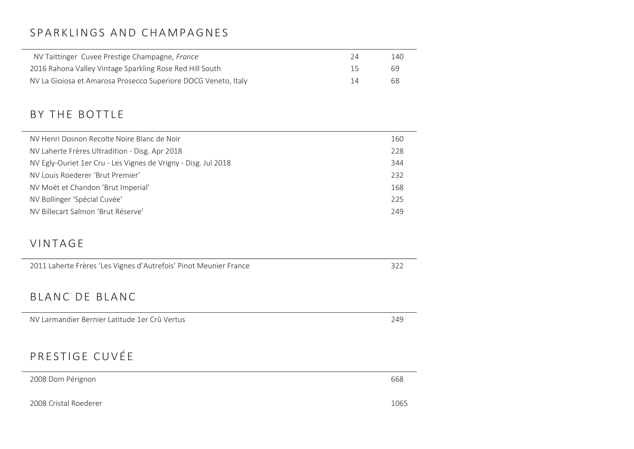### SPARKLINGS AND CHAMPAGNES

| NV Taittinger Cuvee Prestige Champagne, France                 | 24 | 140 |
|----------------------------------------------------------------|----|-----|
| 2016 Rahona Valley Vintage Sparkling Rose Red Hill South       | 15 | 69  |
| NV La Gioiosa et Amarosa Prosecco Superiore DOCG Veneto, Italy | 14 | 68  |

### BY THE BOTTLE

| NV Henri Dosnon Recolte Noire Blanc de Noir                    | 160 |
|----------------------------------------------------------------|-----|
| NV Laherte Frères Ultradition - Disg. Apr 2018                 | 228 |
| NV Egly-Ouriet 1er Cru - Les Vignes de Vrigny - Disg. Jul 2018 | 344 |
| NV Louis Roederer 'Brut Premier'                               | 232 |
| NV Moët et Chandon 'Brut Imperial'                             | 168 |
| NV Bollinger 'Spécial Cuvée'                                   | 225 |
| NV Billecart Salmon 'Brut Réserve'                             | 249 |

#### **VINTAGE**

| 2011 Laherte Frères 'Les Vignes d'Autrefois' Pinot Meunier France | 322 |
|-------------------------------------------------------------------|-----|
| BLANC DE BLANC                                                    |     |
| NV Larmandier Bernier Latitude 1er Crû Vertus                     | 249 |
|                                                                   |     |
| PRESTIGE CUVÉE                                                    |     |
| 2008 Dom Pérignon                                                 | 668 |
|                                                                   |     |

2008 Cristal Roederer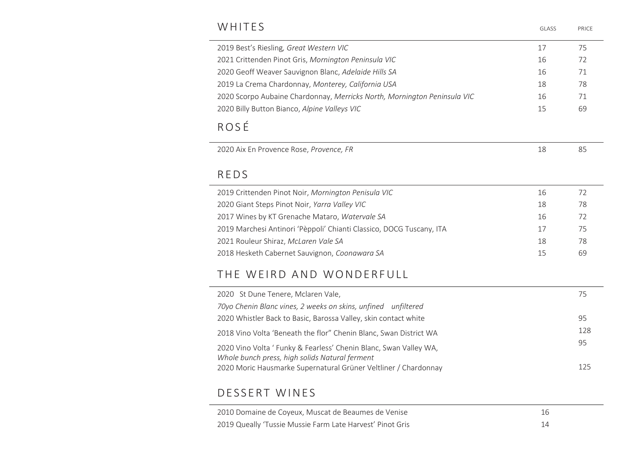### WHITES **SUMPLIES**

| GI ASS | PRICE |
|--------|-------|
|        |       |

| 2019 Best's Riesling, Great Western VIC                                  | 17 | 75             |
|--------------------------------------------------------------------------|----|----------------|
| 2021 Crittenden Pinot Gris, Mornington Peninsula VIC                     | 16 | 72             |
| 2020 Geoff Weaver Sauvignon Blanc, Adelaide Hills SA                     | 16 | 71             |
| 2019 La Crema Chardonnay, Monterey, California USA                       | 18 | 78             |
| 2020 Scorpo Aubaine Chardonnay, Merricks North, Mornington Peninsula VIC | 16 | 71             |
| 2020 Billy Button Bianco, Alpine Valleys VIC                             | 15 | 69             |
| ROSÉ                                                                     |    |                |
|                                                                          |    |                |
| 2020 Aix En Provence Rose, Provence, FR                                  | 18 |                |
| <b>REDS</b>                                                              |    |                |
| 2019 Crittenden Pinot Noir, Mornington Penisula VIC                      | 16 | 85<br>72       |
| 2020 Giant Steps Pinot Noir, Yarra Valley VIC                            | 18 |                |
| 2017 Wines by KT Grenache Mataro, Watervale SA                           | 16 |                |
| 2019 Marchesi Antinori 'Pèppoli' Chianti Classico, DOCG Tuscany, ITA     | 17 | 78<br>72<br>75 |
| 2021 Rouleur Shiraz, McLaren Vale SA                                     | 18 | 78             |

| 2020 St Dune Tenere, Mclaren Vale,                                                                                  | 75  |
|---------------------------------------------------------------------------------------------------------------------|-----|
| 70yo Chenin Blanc vines, 2 weeks on skins, unfined unfiltered                                                       |     |
| 2020 Whistler Back to Basic, Barossa Valley, skin contact white                                                     | 95  |
| 2018 Vino Volta 'Beneath the flor" Chenin Blanc, Swan District WA                                                   | 128 |
| 2020 Vino Volta ' Funky & Fearless' Chenin Blanc, Swan Valley WA,<br>Whole bunch press, high solids Natural ferment | 95  |
| 2020 Moric Hausmarke Supernatural Grüner Veltliner / Chardonnay                                                     | 125 |

### DESSERT WINES

| 2010 Domaine de Coyeux, Muscat de Beaumes de Venise       |  |
|-----------------------------------------------------------|--|
| 2019 Queally 'Tussie Mussie Farm Late Harvest' Pinot Gris |  |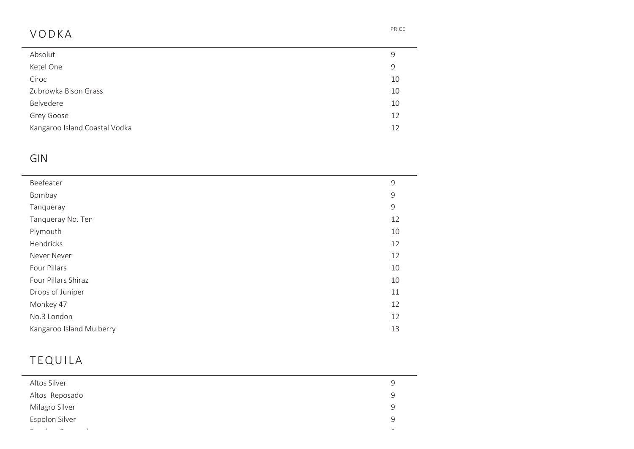## V O D K A PRICE

 $\frac{1}{1}$ 

| Absolut                       | 9  |
|-------------------------------|----|
| Ketel One                     | 9  |
| Ciroc                         | 10 |
| Zubrowka Bison Grass          | 10 |
| Belvedere                     | 10 |
| Grey Goose                    | 12 |
| Kangaroo Island Coastal Vodka | 12 |
|                               |    |

### GIN

| Beefeater                | 9             |
|--------------------------|---------------|
| Bombay                   | 9             |
| Tanqueray                | $\mathcal{G}$ |
| Tanqueray No. Ten        | 12            |
| Plymouth                 | 10            |
| Hendricks                | 12            |
| Never Never              | 12            |
| Four Pillars             | 10            |
| Four Pillars Shiraz      | 10            |
| Drops of Juniper         | 11            |
| Monkey 47                | 12            |
| No.3 London              | 12            |
| Kangaroo Island Mulberry | 13            |
|                          |               |

## **TEQUILA**

| Altos Silver   | 9 |
|----------------|---|
| Altos Reposado | 9 |
| Milagro Silver | 9 |
| Espolon Silver | 9 |
| $\sim$         |   |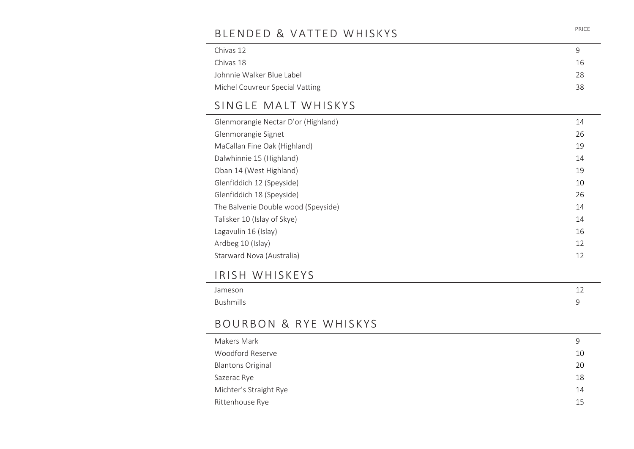## BLENDED & VATTED WHISKYS

| Chivas 12                       |     |
|---------------------------------|-----|
| Chivas 18                       | -16 |
| Johnnie Walker Blue Label       | 28  |
| Michel Couvreur Special Vatting | 38  |

# SINGLE MALT WHISKYS

| Glenmorangie Nectar D'or (Highland) | 14 |
|-------------------------------------|----|
| Glenmorangie Signet                 | 26 |
| MaCallan Fine Oak (Highland)        | 19 |
| Dalwhinnie 15 (Highland)            | 14 |
| Oban 14 (West Highland)             | 19 |
| Glenfiddich 12 (Speyside)           | 10 |
| Glenfiddich 18 (Speyside)           | 26 |
| The Balvenie Double wood (Speyside) | 14 |
| Talisker 10 (Islay of Skye)         | 14 |
| Lagavulin 16 (Islay)                | 16 |
| Ardbeg 10 (Islay)                   | 12 |
| Starward Nova (Australia)           | 12 |

### IRISH WHISKEYS

| Jameson   | ᅩᄼ |
|-----------|----|
| Bushmills |    |

### BOURBON & RYE WHISKYS

| Makers Mark              | 9  |
|--------------------------|----|
| Woodford Reserve         | 10 |
| <b>Blantons Original</b> | 20 |
| Sazerac Rye              | 18 |
| Michter's Straight Rye   | 14 |
| Rittenhouse Rye          | 15 |
|                          |    |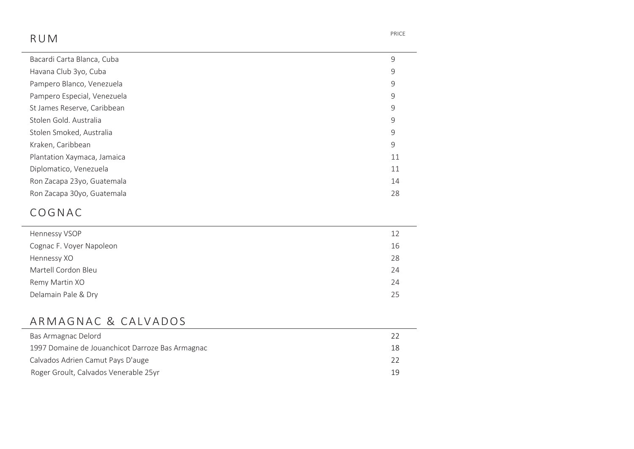## R U M PRICE

| Bacardi Carta Blanca, Cuba  | 9  |
|-----------------------------|----|
| Havana Club 3yo, Cuba       | 9  |
| Pampero Blanco, Venezuela   | 9  |
| Pampero Especial, Venezuela | 9  |
| St James Reserve, Caribbean | 9  |
| Stolen Gold. Australia      | 9  |
| Stolen Smoked, Australia    | 9  |
| Kraken, Caribbean           | 9  |
| Plantation Xaymaca, Jamaica | 11 |
| Diplomatico, Venezuela      | 11 |
| Ron Zacapa 23yo, Guatemala  | 14 |
| Ron Zacapa 30yo, Guatemala  | 28 |

### **COGNAC**

| Hennessy VSOP            | 12 |
|--------------------------|----|
| Cognac F. Voyer Napoleon | 16 |
| Hennessy XO              | 28 |
| Martell Cordon Bleu      | 24 |
| Remy Martin XO           | 24 |
| Delamain Pale & Dry      | 25 |
|                          |    |

## ARMAGNAC & CALVADOS

| 22 |
|----|
| 18 |
| 22 |
| 19 |
|    |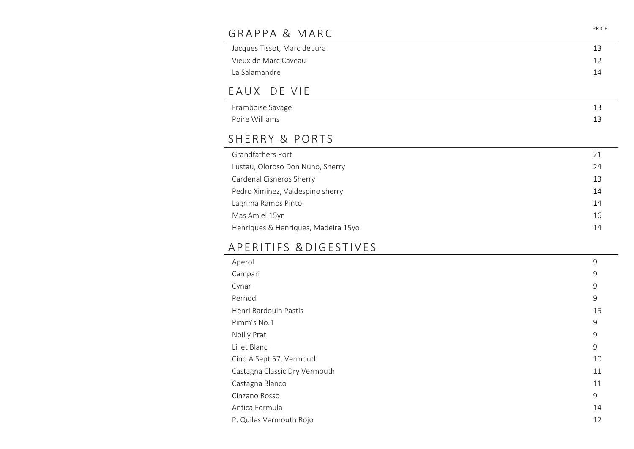| GRAPPA & MARC                       | PRICE |
|-------------------------------------|-------|
| Jacques Tissot, Marc de Jura        | 13    |
| Vieux de Marc Caveau                | 12    |
| La Salamandre                       | 14    |
| EAUX DE VIE                         |       |
| Framboise Savage                    | 13    |
| Poire Williams                      | 13    |
| SHERRY & PORTS                      |       |
| <b>Grandfathers Port</b>            | 21    |
| Lustau, Oloroso Don Nuno, Sherry    | 24    |
| Cardenal Cisneros Sherry            | 13    |
| Pedro Ximinez, Valdespino sherry    | 14    |
| Lagrima Ramos Pinto                 | 14    |
| Mas Amiel 15yr                      | 16    |
| Henriques & Henriques, Madeira 15yo | 14    |
|                                     |       |

### A PERITIFS & DIGESTIVES

| Aperol                        | 9  |
|-------------------------------|----|
| Campari                       | 9  |
| Cynar                         | 9  |
| Pernod                        | 9  |
| Henri Bardouin Pastis         | 15 |
| Pimm's No.1                   | 9  |
| Noilly Prat                   | 9  |
| Lillet Blanc                  | 9  |
| Cinq A Sept 57, Vermouth      | 10 |
| Castagna Classic Dry Vermouth | 11 |
| Castagna Blanco               | 11 |
| Cinzano Rosso                 | 9  |
| Antica Formula                | 14 |
| P. Quiles Vermouth Rojo       | 12 |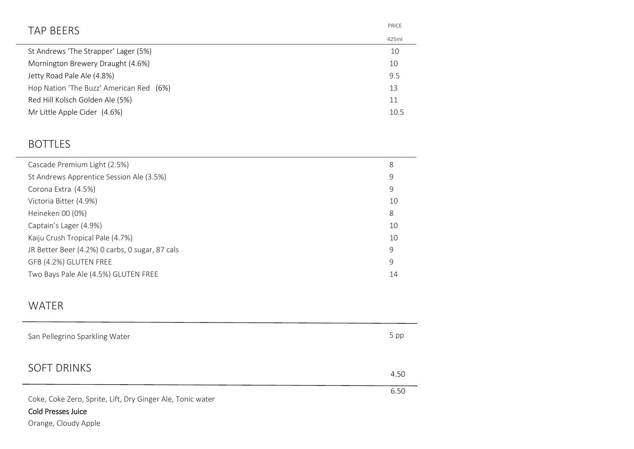| PRICE |
|-------|
| 425ml |
| 10    |
| 10    |
| 9.5   |
| 13    |
| 11    |
| 10.5  |
|       |

## BOTTLES

| Cascade Premium Light (2.5%)                    | 8  |
|-------------------------------------------------|----|
| St Andrews Apprentice Session Ale (3.5%)        | 9  |
| Corona Extra (4.5%)                             | 9  |
| Victoria Bitter (4.9%)                          | 10 |
| Heineken 00 (0%)                                | 8  |
| Captain's Lager (4.9%)                          | 10 |
| Kaiju Crush Tropical Pale (4.7%)                | 10 |
| JR Better Beer (4.2%) 0 carbs, 0 sugar, 87 cals | 9  |
| GFB (4.2%) GLUTEN FREE                          | 9  |
| Two Bays Pale Ale (4.5%) GLUTEN FREE            | 14 |
|                                                 |    |

### WATER

| San Pellegrino Sparkling Water                             | 5 pp |
|------------------------------------------------------------|------|
| <b>SOFT DRINKS</b>                                         | 4.50 |
| Coke, Coke Zero, Sprite, Lift, Dry Ginger Ale, Tonic water | 6.50 |
| <b>Cold Presses Juice</b>                                  |      |

Orange, Cloudy Apple